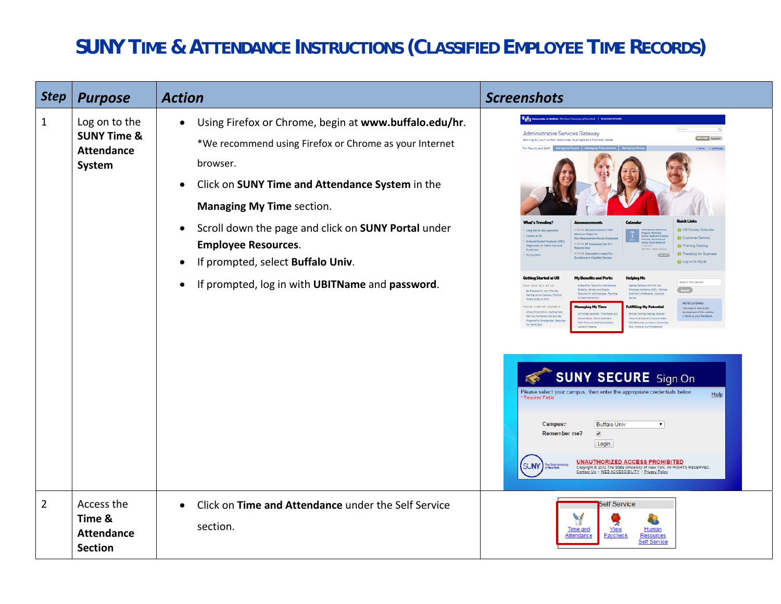## **SUNY TIME & ATTENDANCE INSTRUCTIONS (CLASSIFIED EMPLOYEE TIME RECORDS)**

| <b>Step</b>    | <b>Purpose</b>                                                         | <b>Action</b>                                                                                                                                                                                                                                                                                                                                                                                                                                       | <b>Screenshots</b>                                                                                                                                                                                                                                                                                                                                                                                                                                                                                                                                                                                                                                                                                                                                                                                                                                                                                                                                                                                                                                                                                                                                                                                                                                                                                                                                                                                                                                                                                                                                                                                                                                                                                                                                                                                                                                                                                                                                                                         |
|----------------|------------------------------------------------------------------------|-----------------------------------------------------------------------------------------------------------------------------------------------------------------------------------------------------------------------------------------------------------------------------------------------------------------------------------------------------------------------------------------------------------------------------------------------------|--------------------------------------------------------------------------------------------------------------------------------------------------------------------------------------------------------------------------------------------------------------------------------------------------------------------------------------------------------------------------------------------------------------------------------------------------------------------------------------------------------------------------------------------------------------------------------------------------------------------------------------------------------------------------------------------------------------------------------------------------------------------------------------------------------------------------------------------------------------------------------------------------------------------------------------------------------------------------------------------------------------------------------------------------------------------------------------------------------------------------------------------------------------------------------------------------------------------------------------------------------------------------------------------------------------------------------------------------------------------------------------------------------------------------------------------------------------------------------------------------------------------------------------------------------------------------------------------------------------------------------------------------------------------------------------------------------------------------------------------------------------------------------------------------------------------------------------------------------------------------------------------------------------------------------------------------------------------------------------------|
| $\mathbf{1}$   | Log on to the<br><b>SUNY Time &amp;</b><br><b>Attendance</b><br>System | Using Firefox or Chrome, begin at www.buffalo.edu/hr.<br>$\bullet$<br>*We recommend using Firefox or Chrome as your Internet<br>browser.<br>Click on SUNY Time and Attendance System in the<br>$\bullet$<br><b>Managing My Time section.</b><br>Scroll down the page and click on SUNY Portal under<br>$\bullet$<br><b>Employee Resources.</b><br>If prompted, select Buffalo Univ.<br>$\bullet$<br>If prompted, log in with UBITName and password. | Uply University at Buffalo The State Univ<br>SEARCH<br>Administrative Services Gateway<br>Serving all your human resources, business and financial needs<br><b>Quick Links</b><br>1/27/16 UR Johns Come<br><b>6</b> UB Holiday Calenda<br>Using the US Jobs Ap<br><b>Mintmum Wages for</b><br>Careers at US<br><b>Customer Service</b><br><b>Insduste Student Employee (</b><br>1/12/16 RF Employees Get W-2<br>Training Catalog<br><b>Registration for Health</b><br>1/11/16 Chancellor's Award For<br><b>O</b> Traveling for Busines<br>My Paychec<br><b>Illence In Classified Service</b><br>Log In To MyUB<br>Getting Started at UE<br>My Benefits and Perks<br>ng Me<br>Search this section<br>FIND YOUR WAY AT US<br>My Benefits, Taxes For Inte<br>lakting Wallingto Work For Yo<br>Search<br>Budents, Scholars and Guest<br>Noyee Assistance (EAP), Well<br>le Prepared for Your Pirst D<br>punts for US Emplo<br>etting Around Campus, Find O<br>My State Retirement<br>Where to Eat at Work<br>WE'RE LISTENING<br>Managing My Time<br>TAKING CARE OF YOU REELF<br>ulfilling My Potentia<br>our input is vital to the<br>Attend Orientations, Getting Pald<br>development of this websit<br>rowse Training Catalog, Discove<br>Send us your feed<br>Get Your Permanent UB Card, Be<br>Astrual Rates, Payroll Calendars,<br>Ways to Develop and Improve Hysel<br>Prepared for Emergencies, Reso<br>SUNY Time and Attendance Syste<br>urges to Learn a Computin<br>for Family Care<br>Leaves of Absence<br>Sitt, Improve Your Professional<br><b>SUNY SECURE</b> Sign On<br>Please select your campus, then enter the appropriate credentials below<br>Help<br>Required Fields<br>Campus:<br><b>Buffalo Univ</b><br>$\pmb{\mathrm{v}}$<br>$\overline{\mathcal{L}}$<br>Remember me?<br>Login<br><b>UNAUTHORIZED ACCESS PROHIBITED</b><br><b>SUNY</b><br>Copyright @ 2012 The State University of New York, All RIGHTS RESERVED.<br>Contact Us :: WEB ACCESSIBILITY :: Privacy Policy |
| $\overline{2}$ | Access the<br>Time &<br><b>Attendance</b><br><b>Section</b>            | Click on Time and Attendance under the Self Service<br>$\bullet$<br>section.                                                                                                                                                                                                                                                                                                                                                                        | Self Service<br>$\sqrt{}$<br><b>View</b><br><b>Human</b><br><b>Time and</b><br>Attendance<br>Paycheck<br>Resources<br><b>Self Service</b>                                                                                                                                                                                                                                                                                                                                                                                                                                                                                                                                                                                                                                                                                                                                                                                                                                                                                                                                                                                                                                                                                                                                                                                                                                                                                                                                                                                                                                                                                                                                                                                                                                                                                                                                                                                                                                                  |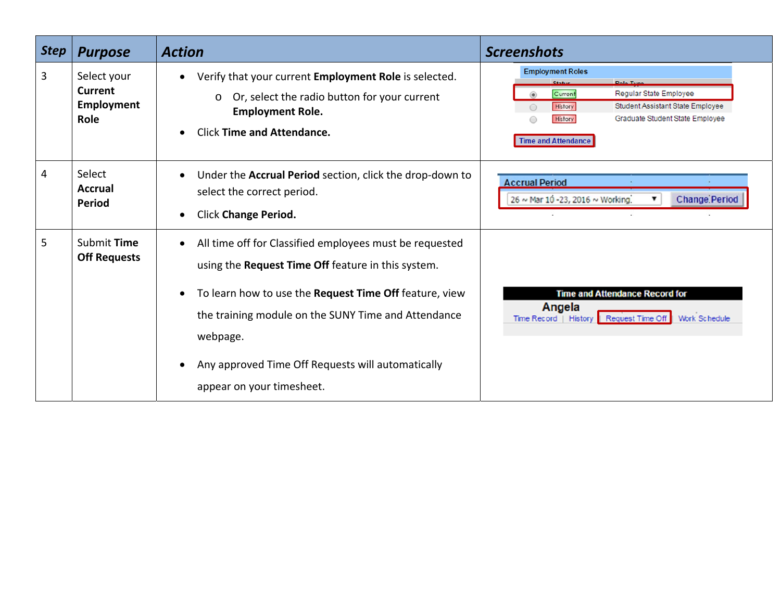| <b>Step</b> | <b>Purpose</b>                                             | <b>Action</b>                                                                                                                                                                                                                                                                                                                             | <b>Screenshots</b>                                                                                                                                                                                                           |
|-------------|------------------------------------------------------------|-------------------------------------------------------------------------------------------------------------------------------------------------------------------------------------------------------------------------------------------------------------------------------------------------------------------------------------------|------------------------------------------------------------------------------------------------------------------------------------------------------------------------------------------------------------------------------|
| 3           | Select your<br><b>Current</b><br><b>Employment</b><br>Role | Verify that your current Employment Role is selected.<br>Or, select the radio button for your current<br>$\circ$<br><b>Employment Role.</b><br><b>Click Time and Attendance.</b>                                                                                                                                                          | <b>Employment Roles</b><br><b>Role Type</b><br>Status<br><b>Regular State Employee</b><br>Current<br>Student Assistant State Employee<br>History<br>Graduate Student State Employee<br>History<br><b>Time and Attendance</b> |
| 4           | Select<br><b>Accrual</b><br><b>Period</b>                  | Under the Accrual Period section, click the drop-down to<br>$\bullet$<br>select the correct period.<br><b>Click Change Period.</b>                                                                                                                                                                                                        | <b>Accrual Period</b><br><b>Change Period</b><br>26 ~ Mar 10 -23, 2016 ~ Working.                                                                                                                                            |
| 5           | Submit Time<br><b>Off Requests</b>                         | All time off for Classified employees must be requested<br>$\bullet$<br>using the Request Time Off feature in this system.<br>To learn how to use the Request Time Off feature, view<br>the training module on the SUNY Time and Attendance<br>webpage.<br>Any approved Time Off Requests will automatically<br>appear on your timesheet. | <b>Time and Attendance Record for</b><br>Angela<br>Work Schedule<br>Time Record   History   Request Time Off                                                                                                                 |